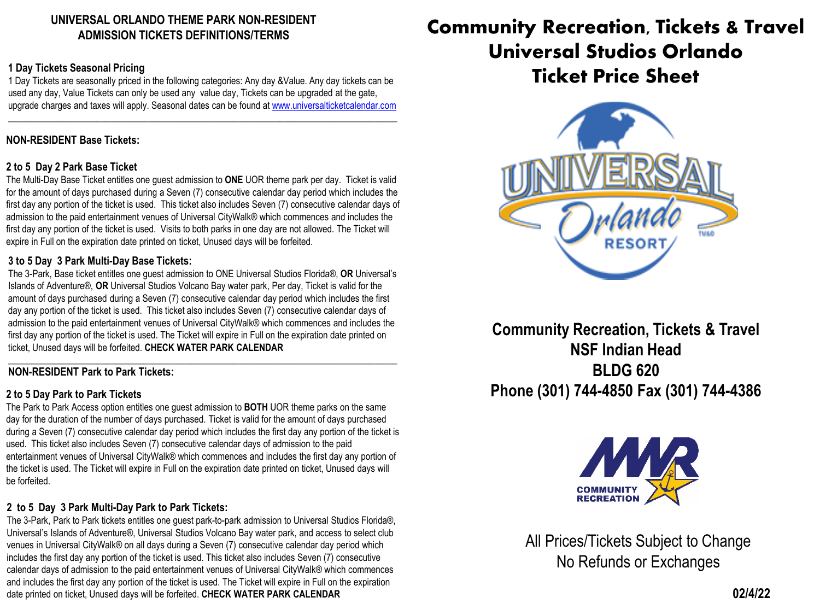# **UNIVERSAL ORLANDO THEME PARK NON-RESIDENT ADMISSION TICKETS DEFINITIONS/TERMS**

#### **1 Day Tickets Seasonal Pricing**

1 Day Tickets are seasonally priced in the following categories: Any day &Value. Any day tickets can be used any day, Value Tickets can only be used any value day, Tickets can be upgraded at the gate, upgrade charges and taxes will apply. Seasonal dates can be found at [www.universalticketcalendar.com](http://www.universalticketcalendar.com/)

\_\_\_\_\_\_\_\_\_\_\_\_\_\_\_\_\_\_\_\_\_\_\_\_\_\_\_\_\_\_\_\_\_\_\_\_\_\_\_\_\_\_\_\_\_\_\_\_\_\_\_\_\_\_\_\_\_\_\_\_\_\_\_\_\_\_\_\_\_\_\_\_\_\_\_\_\_\_\_\_\_\_\_

### **NON-RESIDENT Base Tickets:**

#### **2 to 5 Day 2 Park Base Ticket**

The Multi-Day Base Ticket entitles one guest admission to **ONE** UOR theme park per day. Ticket is valid for the amount of days purchased during a Seven (7) consecutive calendar day period which includes the first day any portion of the ticket is used. This ticket also includes Seven (7) consecutive calendar days of admission to the paid entertainment venues of Universal CityWalk® which commences and includes the first day any portion of the ticket is used. Visits to both parks in one day are not allowed. The Ticket will expire in Full on the expiration date printed on ticket, Unused days will be forfeited.

#### **3 to 5 Day 3 Park Multi-Day Base Tickets:**

The 3-Park, Base ticket entitles one guest admission to ONE Universal Studios Florida®, **OR** Universal's Islands of Adventure®, **OR** Universal Studios Volcano Bay water park, Per day, Ticket is valid for the amount of days purchased during a Seven (7) consecutive calendar day period which includes the first day any portion of the ticket is used. This ticket also includes Seven (7) consecutive calendar days of admission to the paid entertainment venues of Universal CityWalk® which commences and includes the first day any portion of the ticket is used. The Ticket will expire in Full on the expiration date printed on ticket, Unused days will be forfeited. **CHECK WATER PARK CALENDAR**

#### **\_\_\_\_\_\_\_\_\_\_\_\_\_\_\_\_\_\_\_\_\_\_\_\_\_\_\_\_\_\_\_\_\_\_\_\_\_\_\_\_\_\_\_\_\_\_\_\_\_\_\_\_\_\_\_\_\_\_\_\_\_\_\_\_\_\_\_\_\_\_\_\_\_\_\_\_\_\_\_\_\_\_\_ NON-RESIDENT Park to Park Tickets:**

#### **2 to 5 Day Park to Park Tickets**

The Park to Park Access option entitles one guest admission to **BOTH** UOR theme parks on the same day for the duration of the number of days purchased. Ticket is valid for the amount of days purchased during a Seven (7) consecutive calendar day period which includes the first day any portion of the ticket is used. This ticket also includes Seven (7) consecutive calendar days of admission to the paid entertainment venues of Universal CityWalk® which commences and includes the first day any portion of the ticket is used. The Ticket will expire in Full on the expiration date printed on ticket, Unused days will be forfeited.

#### **2 to 5 Day 3 Park Multi-Day Park to Park Tickets:**

The 3-Park, Park to Park tickets entitles one guest park-to-park admission to Universal Studios Florida®, Universal's Islands of Adventure®, Universal Studios Volcano Bay water park, and access to select club venues in Universal CityWalk® on all days during a Seven (7) consecutive calendar day period which includes the first day any portion of the ticket is used. This ticket also includes Seven (7) consecutive calendar days of admission to the paid entertainment venues of Universal CityWalk® which commences and includes the first day any portion of the ticket is used. The Ticket will expire in Full on the expiration date printed on ticket, Unused days will be forfeited. **CHECK WATER PARK CALENDAR**

# **Community Recreation, Tickets & Travel Universal Studios Orlando Ticket Price Sheet**



**Community Recreation, Tickets & Travel NSF Indian Head BLDG 620 Phone (301) 744-4850 Fax (301) 744-4386**



All Prices/Tickets Subject to Change No Refunds or Exchanges